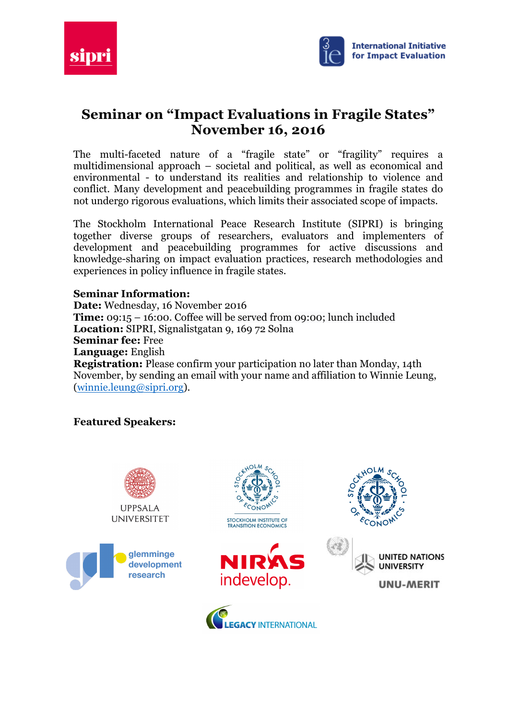



# **Seminar on "Impact Evaluations in Fragile States" November 16, 2016**

The multi-faceted nature of a "fragile state" or "fragility" requires a multidimensional approach – societal and political, as well as economical and environmental - to understand its realities and relationship to violence and conflict. Many development and peacebuilding programmes in fragile states do not undergo rigorous evaluations, which limits their associated scope of impacts.

The Stockholm International Peace Research Institute (SIPRI) is bringing together diverse groups of researchers, evaluators and implementers of development and peacebuilding programmes for active discussions and knowledge-sharing on impact evaluation practices, research methodologies and experiences in policy influence in fragile states.

## **Seminar Information:**

**Date:** Wednesday, 16 November 2016 **Time:** 09:15 – 16:00. Coffee will be served from 09:00; lunch included **Location:** SIPRI, Signalistgatan 9, 169 72 Solna **Seminar fee:** Free **Language:** English **Registration:** Please confirm your participation no later than Monday, 14th November, by sending an email with your name and affiliation to Winnie Leung, (winnie.leung@sipri.org).

## **Featured Speakers:**